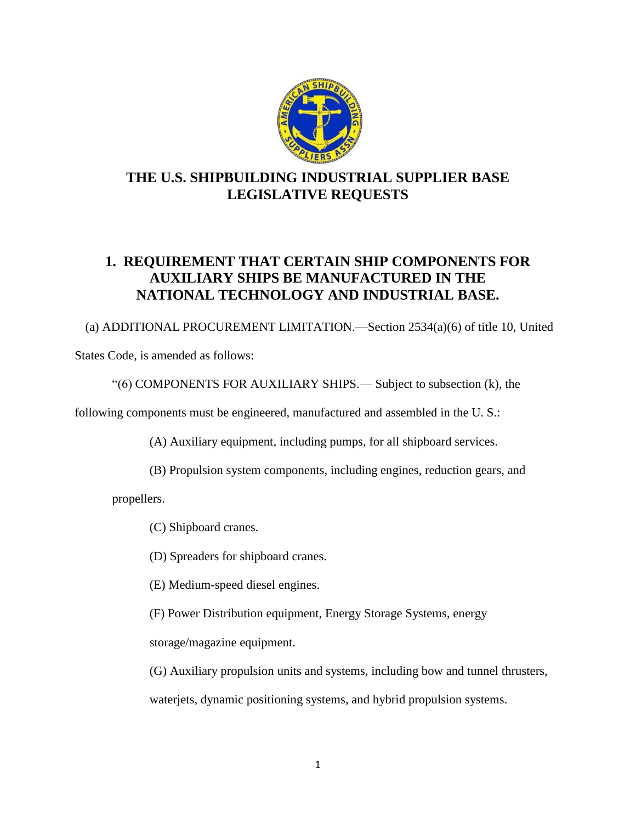

# **THE U.S. SHIPBUILDING INDUSTRIAL SUPPLIER BASE LEGISLATIVE REQUESTS**

# **1. REQUIREMENT THAT CERTAIN SHIP COMPONENTS FOR AUXILIARY SHIPS BE MANUFACTURED IN THE NATIONAL TECHNOLOGY AND INDUSTRIAL BASE.**

(a) ADDITIONAL PROCUREMENT LIMITATION.—Section 2534(a)(6) of title 10, United

States Code, is amended as follows:

"(6) COMPONENTS FOR AUXILIARY SHIPS.— Subject to subsection (k), the

following components must be engineered, manufactured and assembled in the U. S.:

(A) Auxiliary equipment, including pumps, for all shipboard services.

(B) Propulsion system components, including engines, reduction gears, and

propellers.

(C) Shipboard cranes.

(D) Spreaders for shipboard cranes.

(E) Medium-speed diesel engines.

(F) Power Distribution equipment, Energy Storage Systems, energy

storage/magazine equipment.

(G) Auxiliary propulsion units and systems, including bow and tunnel thrusters, waterjets, dynamic positioning systems, and hybrid propulsion systems.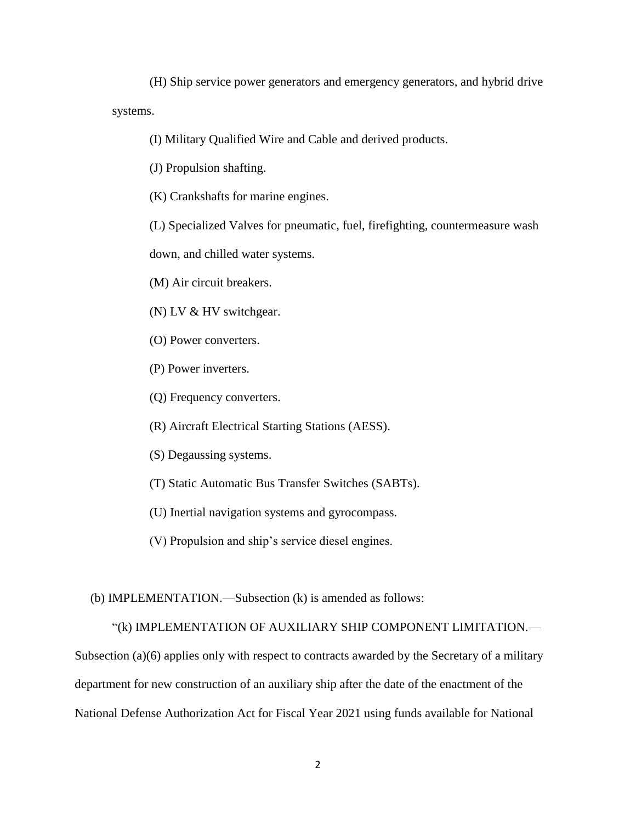(H) Ship service power generators and emergency generators, and hybrid drive systems.

(I) Military Qualified Wire and Cable and derived products.

(J) Propulsion shafting.

(K) Crankshafts for marine engines.

(L) Specialized Valves for pneumatic, fuel, firefighting, countermeasure wash

down, and chilled water systems.

(M) Air circuit breakers.

(N) LV & HV switchgear.

- (O) Power converters.
- (P) Power inverters.

(Q) Frequency converters.

(R) Aircraft Electrical Starting Stations (AESS).

(S) Degaussing systems.

- (T) Static Automatic Bus Transfer Switches (SABTs).
- (U) Inertial navigation systems and gyrocompass.
- (V) Propulsion and ship's service diesel engines.

(b) IMPLEMENTATION.—Subsection (k) is amended as follows:

"(k) IMPLEMENTATION OF AUXILIARY SHIP COMPONENT LIMITATION.—

Subsection (a)(6) applies only with respect to contracts awarded by the Secretary of a military department for new construction of an auxiliary ship after the date of the enactment of the National Defense Authorization Act for Fiscal Year 2021 using funds available for National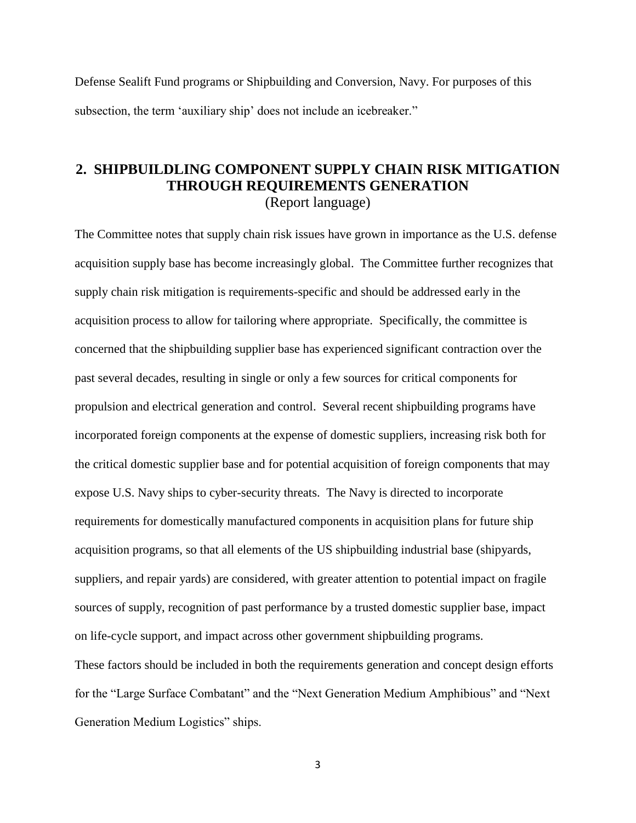Defense Sealift Fund programs or Shipbuilding and Conversion, Navy. For purposes of this subsection, the term 'auxiliary ship' does not include an icebreaker."

## **2. SHIPBUILDLING COMPONENT SUPPLY CHAIN RISK MITIGATION THROUGH REQUIREMENTS GENERATION** (Report language)

The Committee notes that supply chain risk issues have grown in importance as the U.S. defense acquisition supply base has become increasingly global. The Committee further recognizes that supply chain risk mitigation is requirements-specific and should be addressed early in the acquisition process to allow for tailoring where appropriate. Specifically, the committee is concerned that the shipbuilding supplier base has experienced significant contraction over the past several decades, resulting in single or only a few sources for critical components for propulsion and electrical generation and control. Several recent shipbuilding programs have incorporated foreign components at the expense of domestic suppliers, increasing risk both for the critical domestic supplier base and for potential acquisition of foreign components that may expose U.S. Navy ships to cyber-security threats. The Navy is directed to incorporate requirements for domestically manufactured components in acquisition plans for future ship acquisition programs, so that all elements of the US shipbuilding industrial base (shipyards, suppliers, and repair yards) are considered, with greater attention to potential impact on fragile sources of supply, recognition of past performance by a trusted domestic supplier base, impact on life-cycle support, and impact across other government shipbuilding programs. These factors should be included in both the requirements generation and concept design efforts for the "Large Surface Combatant" and the "Next Generation Medium Amphibious" and "Next

Generation Medium Logistics" ships.

3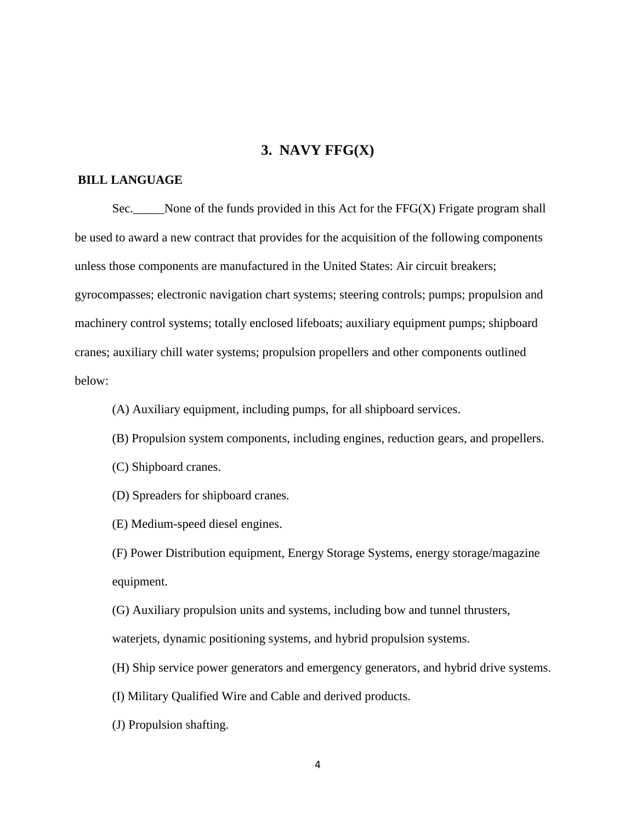### **3. NAVY FFG(X)**

#### **BILL LANGUAGE**

Sec. None of the funds provided in this Act for the  $FFG(X)$  Frigate program shall be used to award a new contract that provides for the acquisition of the following components unless those components are manufactured in the United States: Air circuit breakers; gyrocompasses; electronic navigation chart systems; steering controls; pumps; propulsion and machinery control systems; totally enclosed lifeboats; auxiliary equipment pumps; shipboard cranes; auxiliary chill water systems; propulsion propellers and other components outlined below:

(A) Auxiliary equipment, including pumps, for all shipboard services.

- (B) Propulsion system components, including engines, reduction gears, and propellers.
- (C) Shipboard cranes.
- (D) Spreaders for shipboard cranes.
- (E) Medium-speed diesel engines.

(F) Power Distribution equipment, Energy Storage Systems, energy storage/magazine equipment.

(G) Auxiliary propulsion units and systems, including bow and tunnel thrusters,

waterjets, dynamic positioning systems, and hybrid propulsion systems.

(H) Ship service power generators and emergency generators, and hybrid drive systems.

(I) Military Qualified Wire and Cable and derived products.

(J) Propulsion shafting.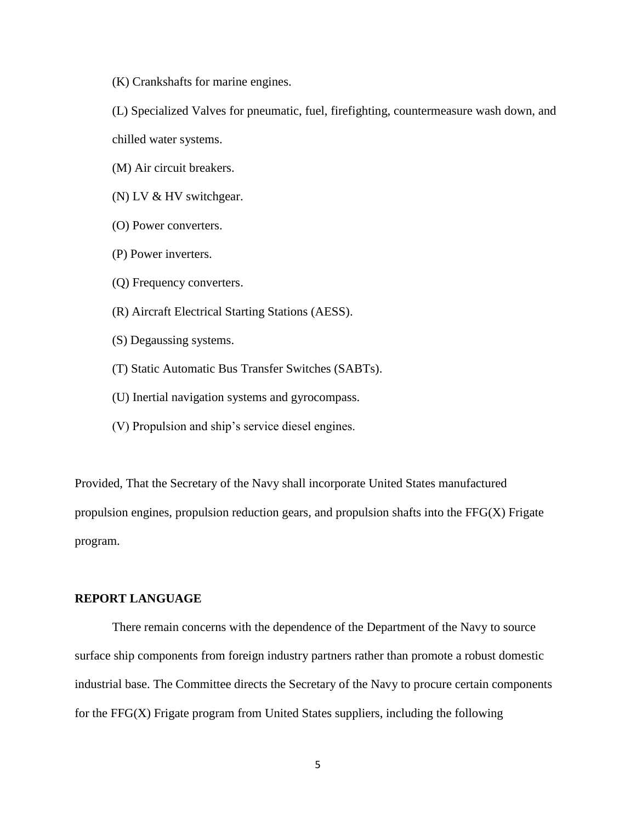(K) Crankshafts for marine engines.

(L) Specialized Valves for pneumatic, fuel, firefighting, countermeasure wash down, and chilled water systems.

(M) Air circuit breakers.

(N) LV & HV switchgear.

- (O) Power converters.
- (P) Power inverters.
- (Q) Frequency converters.
- (R) Aircraft Electrical Starting Stations (AESS).
- (S) Degaussing systems.
- (T) Static Automatic Bus Transfer Switches (SABTs).
- (U) Inertial navigation systems and gyrocompass.
- (V) Propulsion and ship's service diesel engines.

Provided, That the Secretary of the Navy shall incorporate United States manufactured propulsion engines, propulsion reduction gears, and propulsion shafts into the FFG(X) Frigate program.

### **REPORT LANGUAGE**

There remain concerns with the dependence of the Department of the Navy to source surface ship components from foreign industry partners rather than promote a robust domestic industrial base. The Committee directs the Secretary of the Navy to procure certain components for the FFG(X) Frigate program from United States suppliers, including the following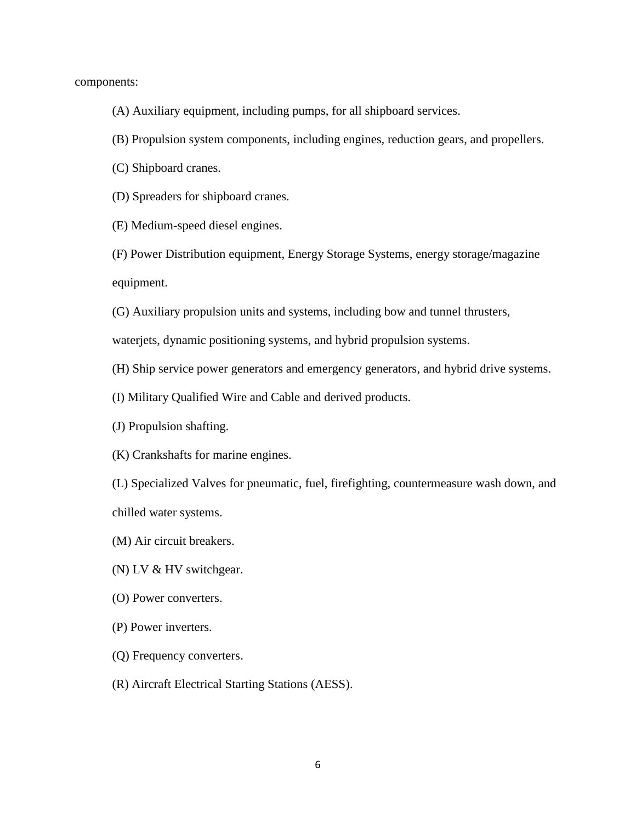components:

- (A) Auxiliary equipment, including pumps, for all shipboard services.
- (B) Propulsion system components, including engines, reduction gears, and propellers.
- (C) Shipboard cranes.
- (D) Spreaders for shipboard cranes.
- (E) Medium-speed diesel engines.
- (F) Power Distribution equipment, Energy Storage Systems, energy storage/magazine equipment.
- (G) Auxiliary propulsion units and systems, including bow and tunnel thrusters,

waterjets, dynamic positioning systems, and hybrid propulsion systems.

- (H) Ship service power generators and emergency generators, and hybrid drive systems.
- (I) Military Qualified Wire and Cable and derived products.
- (J) Propulsion shafting.
- (K) Crankshafts for marine engines.

(L) Specialized Valves for pneumatic, fuel, firefighting, countermeasure wash down, and chilled water systems.

- (M) Air circuit breakers.
- (N) LV & HV switchgear.
- (O) Power converters.
- (P) Power inverters.
- (Q) Frequency converters.
- (R) Aircraft Electrical Starting Stations (AESS).